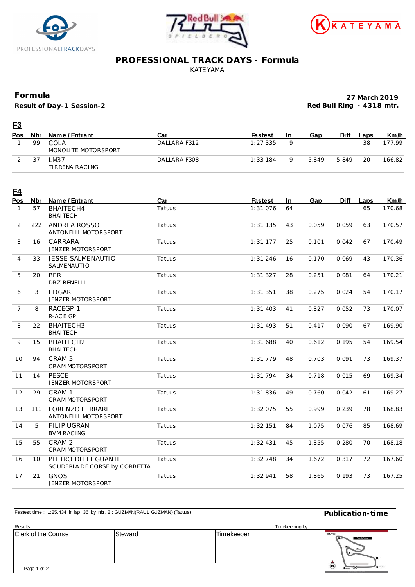





## **PROFESSIONAL TRACK DAYS - Formula** KATEYAMA

## **Formula**

**Result of Day-1 Session-2**

**27 March 2019 Red Bull Ring - 4318 mtr.**

| <u>F3</u>  |            |                             |              |                |     |       |             |      |        |
|------------|------------|-----------------------------|--------------|----------------|-----|-------|-------------|------|--------|
| <b>Pos</b> | <b>Nbr</b> | Name / Entrant              | Car          | <b>Fastest</b> | -In | Gap   | <b>Diff</b> | Laps | Km/h   |
|            | 99         | COLA<br>MONOLITE MOTORSPORT | DALLARA F312 | 1:27.335       |     |       |             | 38   | 177.99 |
|            | 37         | _M37<br>TIRRENA RACING      | DALLARA F308 | 1:33.184       |     | 5.849 | 5.849       | 20   | 166.82 |

| <u>F4</u><br>Pos | <b>Nbr</b> | Name / Entrant                                       | Car    | <b>Fastest</b> | <b>In</b> | Gap   | <b>Diff</b> | Laps | Km/h   |
|------------------|------------|------------------------------------------------------|--------|----------------|-----------|-------|-------------|------|--------|
| $\mathbf{1}$     | 57         | BHAITECH4<br><b>BHAITECH</b>                         | Tatuus | 1:31.076       | 64        |       |             | 65   | 170.68 |
| 2                | 222        | ANDREA ROSSO<br>ANTONELLI MOTORSPORT                 | Tatuus | 1:31.135       | 43        | 0.059 | 0.059       | 63   | 170.57 |
| 3                | 16         | CARRARA<br>JENZER MOTORSPORT                         | Tatuus | 1:31.177       | 25        | 0.101 | 0.042       | 67   | 170.49 |
| 4                | 33         | <b>JESSE SALMENAUTIO</b><br>SALMENAUTIO              | Tatuus | 1:31.246       | 16        | 0.170 | 0.069       | 43   | 170.36 |
| 5                | 20         | <b>BER</b><br><b>DRZ BENELLI</b>                     | Tatuus | 1:31.327       | 28        | 0.251 | 0.081       | 64   | 170.21 |
| 6                | 3          | <b>EDGAR</b><br>JENZER MOTORSPORT                    | Tatuus | 1:31.351       | 38        | 0.275 | 0.024       | 54   | 170.17 |
| $\overline{7}$   | 8          | RACEGP 1<br>R-ACE GP                                 | Tatuus | 1:31.403       | 41        | 0.327 | 0.052       | 73   | 170.07 |
| 8                | 22         | BHAITECH3<br><b>BHAITECH</b>                         | Tatuus | 1:31.493       | 51        | 0.417 | 0.090       | 67   | 169.90 |
| 9                | 15         | BHAITECH2<br><b>BHAITECH</b>                         | Tatuus | 1:31.688       | 40        | 0.612 | 0.195       | 54   | 169.54 |
| 10               | 94         | CRAM <sub>3</sub><br>CRAM MOTORSPORT                 | Tatuus | 1:31.779       | 48        | 0.703 | 0.091       | 73   | 169.37 |
| 11               | 14         | <b>PESCE</b><br>JENZER MOTORSPORT                    | Tatuus | 1:31.794       | 34        | 0.718 | 0.015       | 69   | 169.34 |
| 12               | 29         | CRAM <sub>1</sub><br>CRAM MOTORSPORT                 | Tatuus | 1:31.836       | 49        | 0.760 | 0.042       | 61   | 169.27 |
| 13               | 111        | <b>LORENZO FERRARI</b><br>ANTONELLI MOTORSPORT       | Tatuus | 1:32.075       | 55        | 0.999 | 0.239       | 78   | 168.83 |
| 14               | 5          | <b>FILIP UGRAN</b><br><b>BVM RACING</b>              | Tatuus | 1:32.151       | 84        | 1.075 | 0.076       | 85   | 168.69 |
| 15               | 55         | CRAM <sub>2</sub><br><b>CRAM MOTORSPORT</b>          | Tatuus | 1:32.431       | 45        | 1.355 | 0.280       | 70   | 168.18 |
| 16               | 10         | PIETRO DELLI GUANTI<br>SCUDERIA DF CORSE by CORBETTA | Tatuus | 1:32.748       | 34        | 1.672 | 0.317       | 72   | 167.60 |
| 17               | 21         | <b>GNOS</b><br>JENZER MOTORSPORT                     | Tatuus | 1:32.941       | 58        | 1.865 | 0.193       | 73   | 167.25 |

| Fastest time: 1:25.434 in lap 36 by nbr. 2: GUZMAN(RAUL GUZMAN) (Tatuus) | Publication-time |            |                                                                    |
|--------------------------------------------------------------------------|------------------|------------|--------------------------------------------------------------------|
| Results:                                                                 |                  |            | Timekeeping by:                                                    |
| Clerk of the Course                                                      | Steward          | Timekeeper | C<br>Red Bull Ring<br>$B -$<br>$\mathbf{H}$                        |
| Page 1 of 2                                                              |                  |            | $^{\copyright}$<br><b>B</b> urney<br><b>IFLIONYOUR OWNER MONEY</b> |